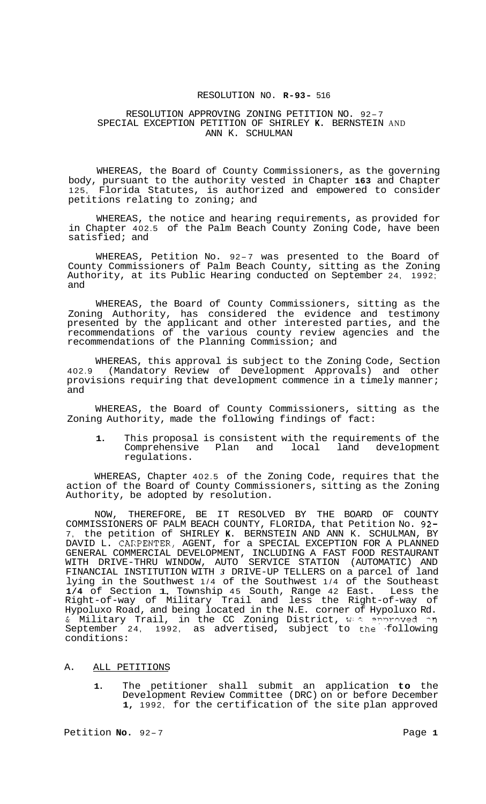# RESOLUTION NO. **R-93-** 516

#### RESOLUTION APPROVING ZONING PETITION NO. 92-7 SPECIAL EXCEPTION PETITION OF SHIRLEY **K.** BERNSTEIN AND ANN K. SCHULMAN

WHEREAS, the Board of County Commissioners, as the governing body, pursuant to the authority vested in Chapter **163** and Chapter 125, Florida Statutes, is authorized and empowered to consider petitions relating to zoning; and

WHEREAS, the notice and hearing requirements, as provided for in Chapter 402.5 of the Palm Beach County Zoning Code, have been satisfied; and

WHEREAS, Petition No. 92-7 was presented to the Board of County Commissioners of Palm Beach County, sitting as the Zoning Authority, at its Public Hearing conducted on September 24, 1992; and

WHEREAS, the Board of County Commissioners, sitting as the Zoning Authority, has considered the evidence and testimony presented by the applicant and other interested parties, and the recommendations of the various county review agencies and the recommendations of the Planning Commission; and

WHEREAS, this approval is subject to the Zoning Code, Section 402.9 (Mandatory Review of Development Approvals) and other provisions requiring that development commence in a timely manner; and

WHEREAS, the Board of County Commissioners, sitting as the Zoning Authority, made the following findings of fact:

**1.** This proposal is consistent with the requirements of the Comprehensive Plan and local land development regulations.

WHEREAS, Chapter 402.5 of the Zoning Code, requires that the action of the Board of County Commissioners, sitting as the Zoning Authority, be adopted by resolution.

NOW, THEREFORE, BE IT RESOLVED BY THE BOARD OF COUNTY COMMISSIONERS OF PALM BEACH COUNTY, FLORIDA, that Petition No. 92- 7, the petition of SHIRLEY **K.** BERNSTEIN AND ANN K. SCHULMAN, BY DAVID L. CAKPENTER, AGENT, for a SPECIAL EXCEPTION FOR A PLANNED GENERAL COMMERCIAL DEVELOPMENT, INCLUDING A FAST FOOD RESTAURANT WITH DRIVE-THRU WINDOW, AUTO SERVICE STATION (AUTOMATIC) AND FINANCIAL INSTITUTION WITH *3* DRIVE-UP TELLERS on a parcel of land lying in the Southwest 1/4 of the Southwest 1/4 of the Southeast **1/4** of Section 1, Township 45 South, Range 42 East. Less the Right-of-way of Military Trail and less the Right-of-way of Hypoluxo Road, and being located in the N.E. corner of Hypoluxo Rd. & Military Trail, in the CC Zoning District, wested provided in September 24, 1992, as advertised, subject to the following conditions:

#### A. ALL PETITIONS

**1.** The petitioner shall submit an application **to** the Development Review Committee (DRC) on or before December **1,** 1992, for the certification of the site plan approved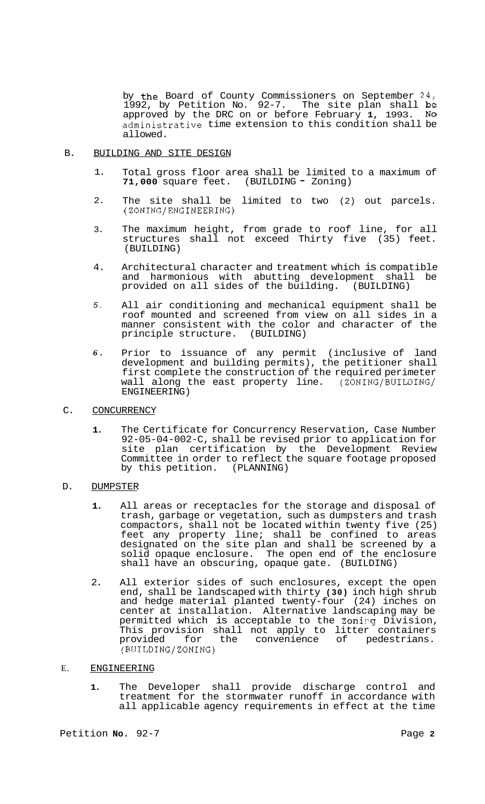by the Board of County Commissioners on September 24, 1992, by Petition No. 92-7. The site plan shall be approved by the DRC on or before February **1,** 1993. NO administrative time extension to this condition shall be allowed.

#### B. BUILDING AND SITE DESIGN

- 1. Total gross floor area shall be limited to a maximum of **71,000** square feet. (BUILDING - Zoning)
- 2. The site shall be limited to two (2) out parcels. (ZONING/ENGINEERING)
- 3. The maximum height, from grade to roof line, for all structures shall not exceed Thirty five (35) feet. (BUILDING)
- 4. Architectural character and treatment which is compatible and harmonious with abutting development shall be provided on all sides of the building. (BUILDING)
- *5.*  All air conditioning and mechanical equipment shall be roof mounted and screened from view on all sides in a manner consistent with the color and character of the principle structure. (BUILDING) principle structure.
- *6.*  Prior to issuance of any permit (inclusive of land development and building permits), the petitioner shall first complete the construction of the required perimeter wall along the east property line. (ZONING/BUILDING/ ENGINEERING)
- C. CONCURRENCY
	- **1.** The Certificate for Concurrency Reservation, Case Number 92-05-04-002-C, shall be revised prior to application for site plan certification by the Development Review Committee in order to reflect the square footage proposed<br>by this petition. (PLANNING) by this petition.
- D. DUMPSTER
	- **1.** All areas or receptacles for the storage and disposal of trash, garbage or vegetation, such as dumpsters and trash compactors, shall not be located within twenty five (25) feet any property line; shall be confined to areas designated on the site plan and shall be screened by a solid opaque enclosure. The open end of the enclosure shall have an obscuring, opaque gate. (BUILDING)
	- 2. All exterior sides of such enclosures, except the open end, shall be landscaped with thirty **(30)** inch high shrub and hedge material planted twenty-four (24) inches on center at installation. Alternative landscaping may be permitted which is acceptable to the Zoning Division, This provision shall not apply to litter containers provided for the convenience of pedestrians. (BUILDING/ZONING)

## E. ENGINEERING

**1.** The Developer shall provide discharge control and treatment for the stormwater runoff in accordance with all applicable agency requirements in effect at the time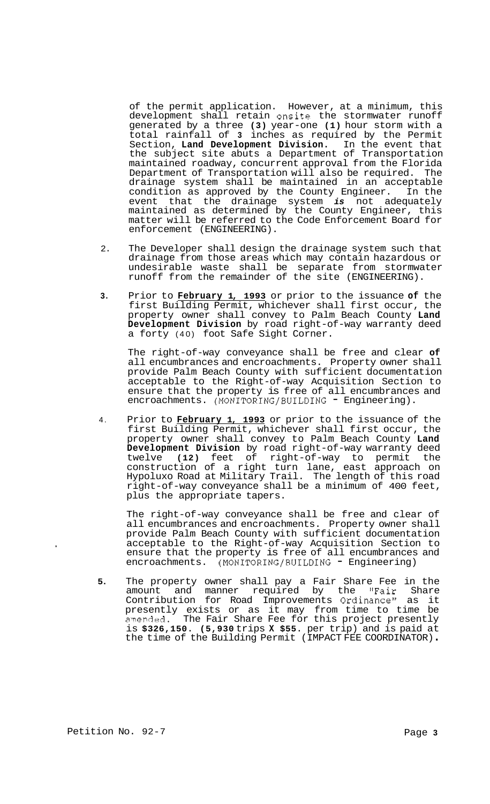of the permit application. However, at a minimum, this development shall retain onsite the stormwater runoff generated by a three **(3)** year-one **(1)** hour storm with a total rainfall of **3** inches as required by the Permit Section, **Land Development Division.** In the event that the subject site abuts a Department of Transportation maintained roadway, concurrent approval from the Florida Department of Transportation will also be required. The drainage system shall be maintained in an acceptable condition as approved by the County Engineer. In the event that the drainage system *is* not adequately maintained as determined by the County Engineer, this matter will be referred to the Code Enforcement Board for enforcement (ENGINEERING).

- 2. The Developer shall design the drainage system such that drainage from those areas which may contain hazardous or undesirable waste shall be separate from stormwater runoff from the remainder of the site (ENGINEERING).
- **3.** Prior to **February 1, 1993** or prior to the issuance **of** the first Building Permit, whichever shall first occur, the property owner shall convey to Palm Beach County **Land Development Division** by road right-of-way warranty deed a forty (40) foot Safe Sight Corner.

The right-of-way conveyance shall be free and clear **of**  all encumbrances and encroachments. Property owner shall provide Palm Beach County with sufficient documentation acceptable to the Right-of-way Acquisition Section to ensure that the property is free of all encumbrances and encroachments. (MONITORING/BUILDING - Engineering).

4. Prior to **February 1, 1993** or prior to the issuance of the first Building Permit, whichever shall first occur, the property owner shall convey to Palm Beach County **Land Development Division** by road right-of-way warranty deed twelve **(12)** feet of right-of-way to permit the construction of a right turn lane, east approach on Hypoluxo Road at Military Trail. The length of this road right-of-way conveyance shall be a minimum of 400 feet, plus the appropriate tapers.

The right-of-way conveyance shall be free and clear of all encumbrances and encroachments. Property owner shall provide Palm Beach County with sufficient documentation acceptable to the Right-of-way Acquisition Section to ensure that the property is free of all encumbrances and encroachments. (MONITORING/BUILDING - Engineering)

**5.** The property owner shall pay a Fair Share Fee in the amount and manner required by the "Fair Share Contribution for Road Improvements Ordinance" as it presently exists or as it may from time to time be amended. The Fair Share Fee for this project presently is **\$326,150. (5,930** trips **X \$55.** per trip) and is paid at the time of the Building Permit (IMPACT FEE COORDINATOR) .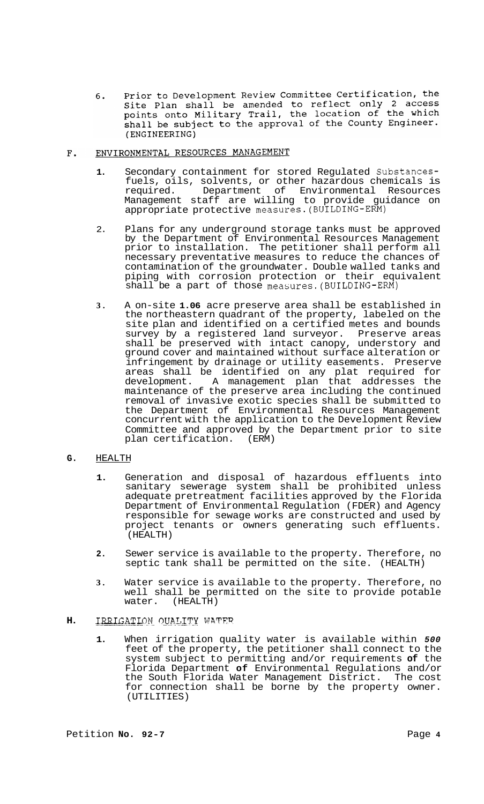Prior to Development Review Committee Certification, the  $6.$ site Plan shall be amended to reflect only 2 access<br>points onto Military Trail, the location of the which shall be subject to the approval of the County Engineer. (ENGINEERING)

#### $F<sub>1</sub>$ ENVIRONMENTAL RESOURCES MANAGEMENT

- **1.** Secondary containment for stored Regulated Substancesfuels, oils, solvents, or other hazardous chemicals is required. Department of Environmental Resources Management staff are willing to provide guidance on appropriate protective measures.(BUILDING-ERM)
- 2. Plans for any underground storage tanks must be approved by the Department of Environmental Resources Management prior to installation. The petitioner shall perform all necessary preventative measures to reduce the chances of contamination of the groundwater. Double walled tanks and piping with corrosion protection or their equivalent shall be a part of those measures. (BUILDING-ERM)
- **3.** A on-site **1.06** acre preserve area shall be established in the northeastern quadrant of the property, labeled on the site plan and identified on a certified metes and bounds survey by a registered land surveyor. Preserve areas shall be preserved with intact canopy, understory and ground cover and maintained without surface alteration or infringement by drainage or utility easements. Preserve areas shall be identified on any plat required for development. A management plan that addresses the maintenance of the preserve area including the continued removal of invasive exotic species shall be submitted to the Department of Environmental Resources Management concurrent with the application to the Development Review Committee and approved by the Department prior to site plan certification. (ERM)
- **G.** HEALTH
	- **1.** Generation and disposal of hazardous effluents into sanitary sewerage system shall be prohibited unless adequate pretreatment facilities approved by the Florida Department of Environmental Regulation (FDER) and Agency responsible for sewage works are constructed and used by project tenants or owners generating such effluents. (HEALTH)
	- **2.** Sewer service is available to the property. Therefore, no septic tank shall be permitted on the site. (HEALTH)
	- **3.** Water service is available to the property. Therefore, no well shall be permitted on the site to provide potable water. (HEALTH)

## **H.** IRRIGATION OUALITY WATER

**1.** When irrigation quality water is available within *500*  feet of the property, the petitioner shall connect to the system subject to permitting and/or requirements **of** the Florida Department **of** Environmental Regulations and/or the South Florida Water Management District. The cost for connection shall be borne by the property owner. (UTILITIES)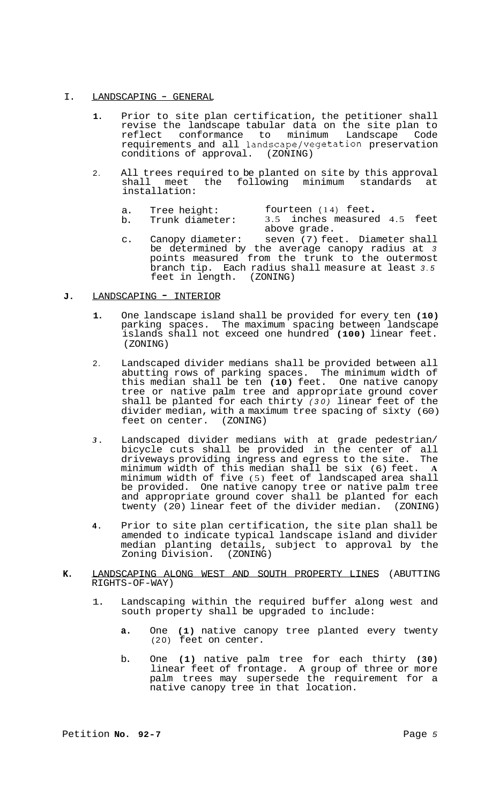## I. LANDSCAPING - GENERAL

- **1.** Prior to site plan certification, the petitioner shall revise the landscape tabular data on the site plan to reflect conformance to minimum Landscape Code requirements and all landscape/vegetation preservation conditions of approval. (ZONING)
- 2. All trees required to be planted on site by this approval<br>shall meet the following minimum standards at  $shall$  meet the following minimum installation:
	- a. Tree height: fourteen (14) feet.<br>b. Trunk diameter: 3.5 inches measured 4.5 feet above grade.
	- c. Canopy diameter: seven (7) feet. Diameter shall be determined by the average canopy radius at *3*  points measured from the trunk to the outermost branch tip. Each radius shall measure at least *3.5*  feet in length. (ZONING)

## **J.** LANDSCAPING - INTERIOR

- **1.** One landscape island shall be provided for every ten **(10)**  parking spaces. The maximum spacing between landscape islands shall not exceed one hundred **(100)** linear feet. (ZONING)
- 2. Landscaped divider medians shall be provided between all abutting rows of parking spaces. The minimum width of this median shall be ten **(10)** feet. One native canopy tree or native palm tree and appropriate ground cover shall be planted for each thirty *(30)* linear feet of the divider median, with a maximum tree spacing of sixty (60) feet on center. (ZONING)
- *3.* Landscaped divider medians with at grade pedestrian/ bicycle cuts shall be provided in the center of all driveways providing ingress and egress to the site. The minimum width of this median shall be six (6) feet. **A**  minimum width of five (5) feet of landscaped area shall be provided. One native canopy tree or native palm tree and appropriate ground cover shall be planted for each twenty (20) linear feet of the divider median. (ZONING)
- **4.** Prior to site plan certification, the site plan shall be amended to indicate typical landscape island and divider median planting details, subject to approval by the Zoning Division. (ZONING) Zoning Division.
- **K.** LANDSCAPING ALONG WEST AND SOUTH PROPERTY LINES (ABUTTING RIGHTS-OF-WAY)
	- 1. Landscaping within the required buffer along west and south property shall be upgraded to include:
		- **a.** One **(1)** native canopy tree planted every twenty (20) feet on center.
		- b. One **(1)** native palm tree for each thirty **(30)**  linear feet of frontage. A group of three or more palm trees may supersede the requirement for a native canopy tree in that location.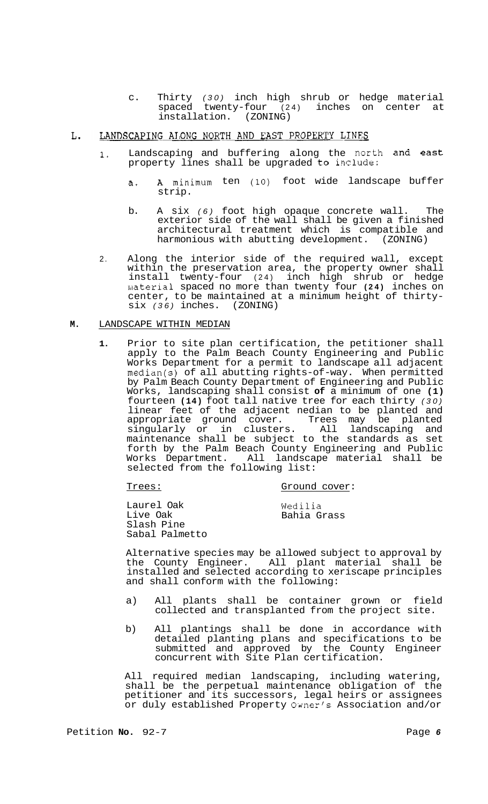c. Thirty *(30)* inch high shrub or hedge material spaced twenty-four (24) inches on center at installation. (ZONING)

#### LANDSCAPING ALONG NORTH AND EAST PROPERTY LINES L.

- **1.** Landscaping and buffering along the north and east property lines shall be upgraded to include:
	- a. A minimum ten **(10)** foot wide landscape buffer strip.
	- b. A six *(6)* foot high opaque concrete wall. The exterior side of the wall shall be given a finished architectural treatment which is compatible and harmonious with abutting development. (ZONING)
- 2. Along the interior side of the required wall, except within the preservation area, the property owner shall install twenty-four (24) inch high shrub or hedge uaterial spaced no more than twenty four **(24)** inches on center, to be maintained at a minimum height of thirty- six *(36)* inches. (ZONING)

## **M.** LANDSCAPE WITHIN MEDIAN

**1.** Prior to site plan certification, the petitioner shall apply to the Palm Beach County Engineering and Public Works Department for a permit to landscape all adjacent median(s) of all abutting rights-of-way. When permitted by Palm Beach County Department of Engineering and Public Works, landscaping shall consist **of** a minimum of one **(1)**  fourteen **(14)** foot tall native tree for each thirty *(30)*  linear feet of the adjacent nedian to be planted and appropriate ground cover. Trees may be planted singularly or in clusters. All landscaping and maintenance shall be subject to the standards as set forth by the Palm Beach County Engineering and Public<br>Works Department. All landscape material shall be All landscape material shall be selected from the following list:

Trees:

Ground cover:

| Wedilia     |
|-------------|
| Bahia Grass |
|             |
|             |
|             |

Alternative species may be allowed subject to approval by the County Engineer. All plant material shall be installed and selected according to xeriscape principles and shall conform with the following:

- a) All plants shall be container grown or field collected and transplanted from the project site.
- b) All plantings shall be done in accordance with detailed planting plans and specifications to be submitted and approved by the County Engineer concurrent with Site Plan certification.

All required median landscaping, including watering, shall be the perpetual maintenance obligation of the petitioner and its successors, legal heirs or assignees or duly established Property Owner's Association and/or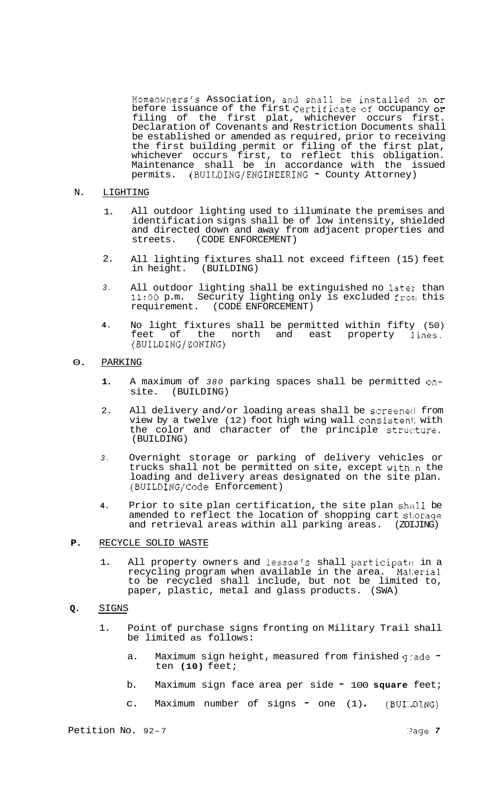Homeowners's Association, and shall be installed on or before issuance of the first Certificate of occupancy or filing of the first plat, whichever occurs first. Declaration of Covenants and Restriction Documents shall be established or amended as required, prior to receiving the first building permit or filing of the first plat, whichever occurs first, to reflect this obligation. Maintenance shall be in accordance with the issued permits. (BUILDING/ENGINEERING - County Attorney)

- N. LIGHTING
	- 1. All outdoor lighting used to illuminate the premises and identification signs shall be of low intensity, shielded and directed down and away from adjacent properties and streets. (CODE ENFORCEMENT) (CODE ENFORCEMENT)
	- 2. All lighting fixtures shall not exceed fifteen (15) feet<br>in height. (BUILDING) (BUILDING)
	- *3.*  All outdoor lighting shall be extinguished no later than 11:OO p.m. Security lighting only is excluded from this requirement. (CODE ENFORCEMENT)
	- **4.**  No light fixtures shall be permitted within fifty (50) feet of the north and east property lines. (BUILDING/ZONING)
- 0. PARKING
	- **1.** A maximum of *380* parking spaces shall be permitted onsite. (BUILDING)
	- 2. All delivery and/or loading areas shall be screened from view by a twelve (12) foot high wing wall consistent with the color and character of the principle structure. (BUILDING)
	- *3.* Overnight storage or parking of delivery vehicles or trucks shall not be permitted on site, except with:.n the loading and delivery areas designated on the site plan. (BUILDING/Code Enforcement)
	- **4.** Prior to site plan certification, the site plan shall be amended to reflect the location of shopping cart storage and retrieval areas within all parking areas. (ZOIJING)
- **P.** RECYCLE SOLID WASTE
	- 1. All property owners and lessee's shall participate in a recycling program when available in the area. Mai:erial to be recycled shall include, but not be limited to, paper, plastic, metal and glass products. (SWA)
- **Q.** SIGNS
	- 1. Point of purchase signs fronting on Military Trail shall be limited as follows:
		- a. Maximum sign height, measured from finished grade ten **(10)** feet;
		- b. Maximum sign face area per side <sup>100</sup>**square** feet;
		- c. Maximum number of signs  $=$  one  $(1)$ .  $(BUI)$   $DING)$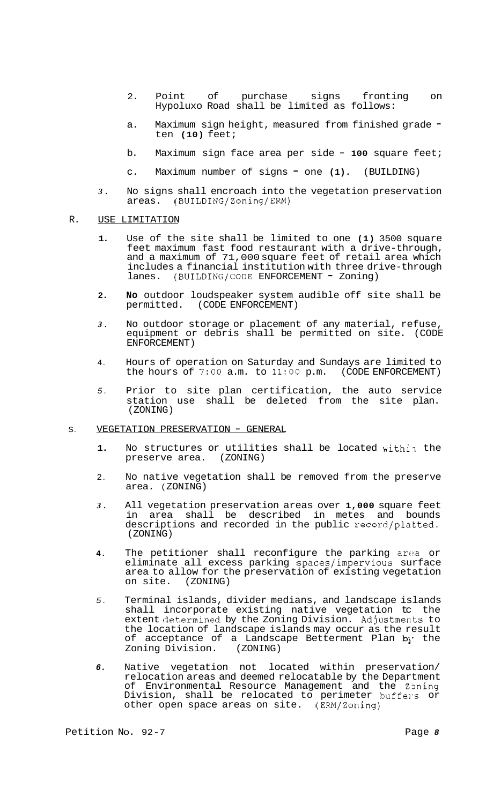- 2. Point of purchase signs fronting on Hypoluxo Road shall be limited as follows:
- a. Maximum sign height, measured from finished grade ten **(10)** feet;
- b. Maximum sign face area per side **100** square feet;
- c. Maximum number of signs one **(1).** (BUILDING)
- *3.* No signs shall encroach into the vegetation preservation areas. (BUILDING/Zoning/ERM)

### R. USE LIMITATION

- **1.**  Use of the site shall be limited to one **(1)** 3500 square feet maximum fast food restaurant with a drive-through, and a maximum of 71,000 square feet of retail area which includes a financial institution with three drive-through lanes. (BUILDING/CODE ENFORCEMENT = Zoning)
- **2. No** outdoor loudspeaker system audible off site shall be permitted. (CODE ENFORCEMENT)
- *3.*  No outdoor storage or placement of any material, refuse, equipment or debris shall be permitted on site. (CODE ENFORCEMENT)
- 4. Hours of operation on Saturday and Sundays are limited to the hours of *7:OO* a.m. to **11:OO** p.m. (CODE ENFORCEMENT)
- *5.*  Prior to site plan certification, the auto service station use shall be deleted from the site plan. (ZONING)

#### S. VEGETATION PRESERVATION - GENERAL

- **1.**  No structures or utilities shall be located within the preserve area. (ZONING)
- 2. No native vegetation shall be removed from the preserve area. ( ZONING)
- *3.*  All vegetation preservation areas over **1,000** square feet in area shall be described in metes and bounds descriptions and recorded in the public record/platted. (ZONING)
- **4.**  The petitioner shall reconfigure the parking area or eliminate all excess parking spaces/impervious surface area to allow for the preservation of existing vegetation<br>on site. (ZONING) on site.
- *5.*  Terminal islands, divider medians, and landscape islands shall incorporate existing native vegetation tc the extent determined by the Zoning Division. Adjustments to the location of landscape islands may occur as the result of acceptance of a Landscape Betterment Plan by the Zoning Division. (ZONING) Zoning Division.
- *6.*  Native vegetation not located within preservation/ relocation areas and deemed relocatable by the Department of Environmental Resource Management and the Zoning Division, shall be relocated to perimeter buffers or other open space areas on site. (ERM/Zoning)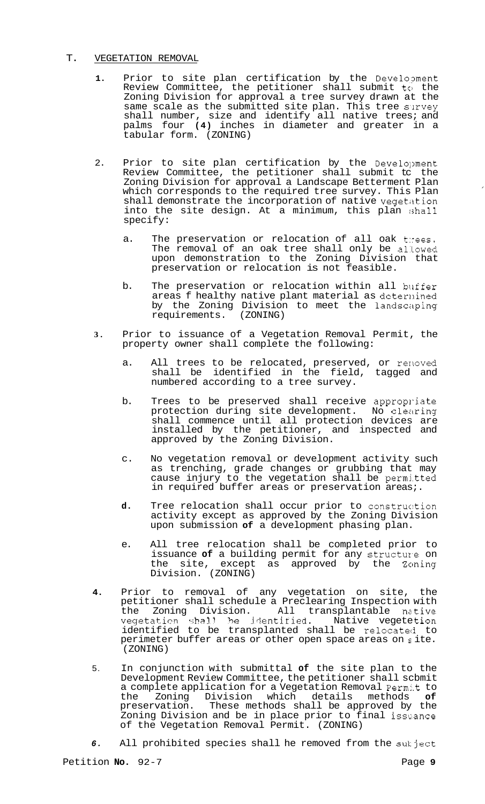## T. VEGETATION REMOVAL

- 1. Prior to site plan certification by the Development Review Committee, the petitioner shall submit to the Zoning Division for approval a tree survey drawn at the same scale as the submitted site plan. This tree survey shall number, size and identify all native trees; and palms four **(4)** inches in diameter and greater in a tabular form. (ZONING)
- 2. Prior to site plan certification by the Development Review Committee, the petitioner shall submit to the Zoning Division for approval a Landscape Betterment Plan which corresponds to the required tree survey. This Plan shall demonstrate the incorporation of native vegetation into the site design. At a minimum, this plan shall specify:
	- a. The preservation or relocation of all oak thees. The removal of an oak tree shall only be allowed upon demonstration to the Zoning Division that preservation or relocation is not feasible.
	- b. The preservation or relocation within all buffer areas f healthy native plant material as deternined by the Zoning Division to meet the landscaping requirements. (ZONING)
- **3.** Prior to issuance of a Vegetation Removal Permit, the property owner shall complete the following:
	- a. All trees to be relocated, preserved, or renoved shall be identified in the field, tagged and numbered according to a tree survey.
	- b. Trees to be preserved shall receive appropriate protection during site development. No clearing shall commence until all protection devices are installed by the petitioner, and inspected and approved by the Zoning Division.
	- c. No vegetation removal or development activity such as trenching, grade changes or grubbing that may cause injury to the vegetation shall be permi.tted in required buffer areas or preservation areas;.
	- **d.** Tree relocation shall occur prior to construc:tion activity except as approved by the Zoning Division upon submission **of** a development phasing plan.
	- e. All tree relocation shall be completed prior to issuance of a building permit for any structure on the site, except as approved by the Zoning Division. (ZONING)
- **4.** Prior to removal of any vegetation on site, the petitioner shall schedule a Preclearing Inspection with the Zoning Division. All transplantable native vegetation shall be identified. Native vegetetion identified to be transplanted shall be relocated to perimeter buffer areas or other open space areas on  $s$  ite. (ZONING)
- 5. In conjunction with submittal **of** the site plan to the Development Review Committee, the petitioner shall scbmit a complete application for a Vegetation Removal Permit to<br>the 20ning Division which details methods of the Zoning Division which details methods<br>preservation. These methods shall be approved by These methods shall be approved by the Zoning Division and be in place prior to final issuance of the Vegetation Removal Permit. (ZONING)
- *6.* All prohibited species shall he removed from the sukject

 $\overline{\phantom{a}}$